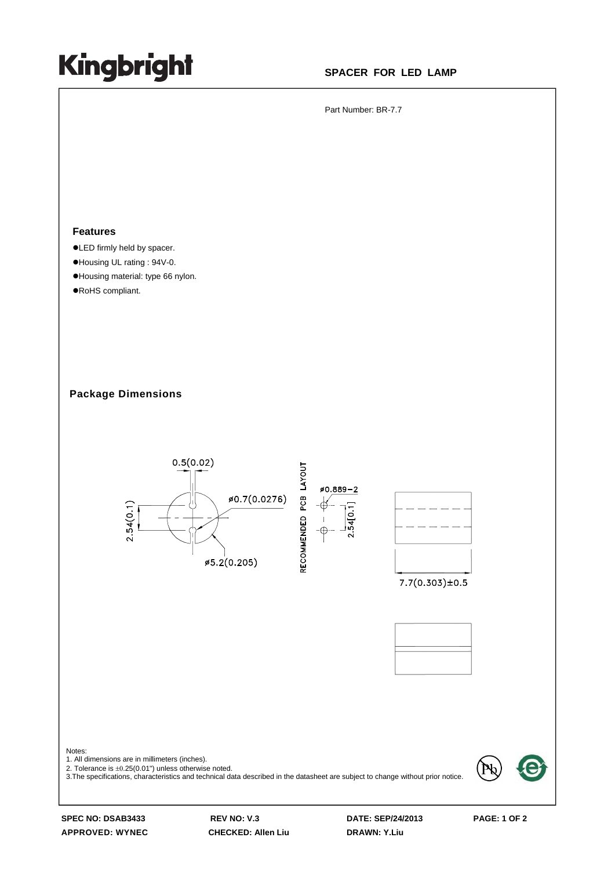## **Kingbright**

## **SPACER FOR LED LAMP**

Part Number: BR-7.7

## **Features**

- $\bullet$  LED firmly held by spacer.
- ●Housing UL rating : 94V-0.
- ●Housing material: type 66 nylon.
- ●RoHS compliant.

**Package Dimensions** 



**SPEC NO: DSAB3433 REV NO: V.3 DATE: SEP/24/2013 PAGE: 1 OF 2**